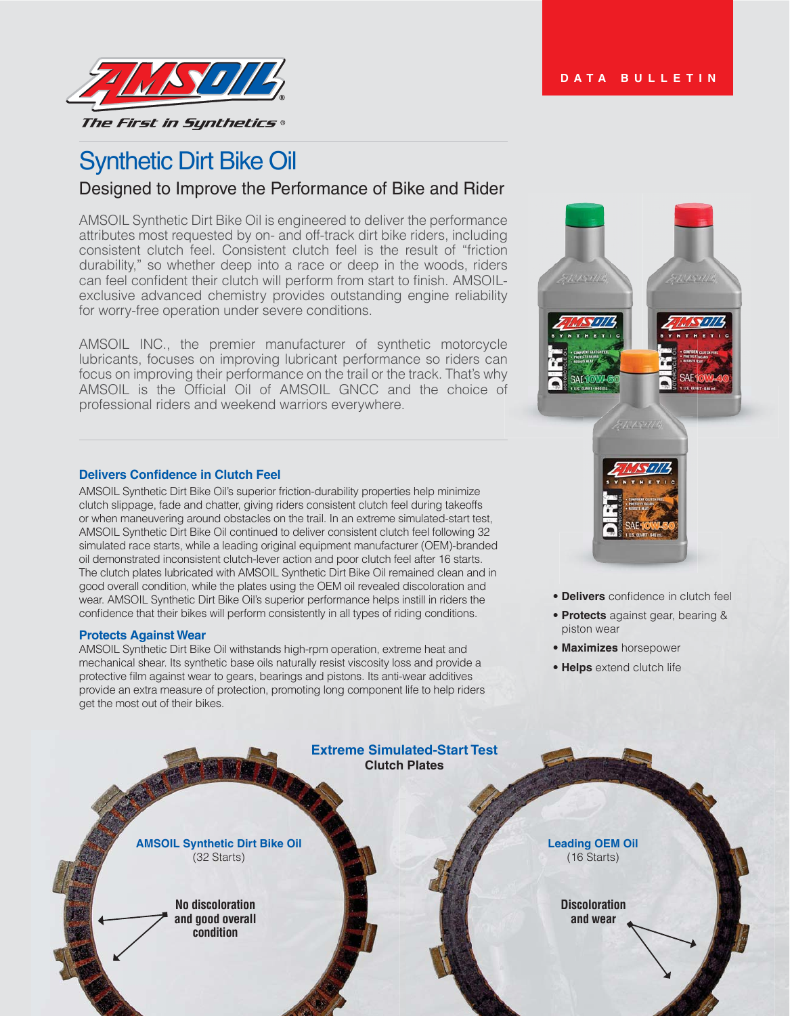

# Synthetic Dirt Bike Oil

# Designed to Improve the Performance of Bike and Rider

AMSOIL Synthetic Dirt Bike Oil is engineered to deliver the performance attributes most requested by on- and off-track dirt bike riders, including consistent clutch feel. Consistent clutch feel is the result of "friction durability," so whether deep into a race or deep in the woods, riders can feel confident their clutch will perform from start to finish. AMSOILexclusive advanced chemistry provides outstanding engine reliability for worry-free operation under severe conditions.

AMSOIL INC., the premier manufacturer of synthetic motorcycle lubricants, focuses on improving lubricant performance so riders can focus on improving their performance on the trail or the track. That's why AMSOIL is the Official Oil of AMSOIL GNCC and the choice of professional riders and weekend warriors everywhere.

## **Delivers Confidence in Clutch Feel**

AMSOIL Synthetic Dirt Bike Oil's superior friction-durability properties help minimize clutch slippage, fade and chatter, giving riders consistent clutch feel during takeoffs or when maneuvering around obstacles on the trail. In an extreme simulated-start test, AMSOIL Synthetic Dirt Bike Oil continued to deliver consistent clutch feel following 32 simulated race starts, while a leading original equipment manufacturer (OEM)-branded oil demonstrated inconsistent clutch-lever action and poor clutch feel after 16 starts. The clutch plates lubricated with AMSOIL Synthetic Dirt Bike Oil remained clean and in good overall condition, while the plates using the OEM oil revealed discoloration and wear. AMSOIL Synthetic Dirt Bike Oil's superior performance helps instill in riders the confidence that their bikes will perform consistently in all types of riding conditions.

#### **Protects Against Wear**

AMSOIL Synthetic Dirt Bike Oil withstands high-rpm operation, extreme heat and mechanical shear. Its synthetic base oils naturally resist viscosity loss and provide a protective film against wear to gears, bearings and pistons. Its anti-wear additives provide an extra measure of protection, promoting long component life to help riders get the most out of their bikes.



- **Delivers** confidence in clutch feel
- **Protects** against gear, bearing & piston wear
- **Maximizes** horsepower
- **Helps** extend clutch life